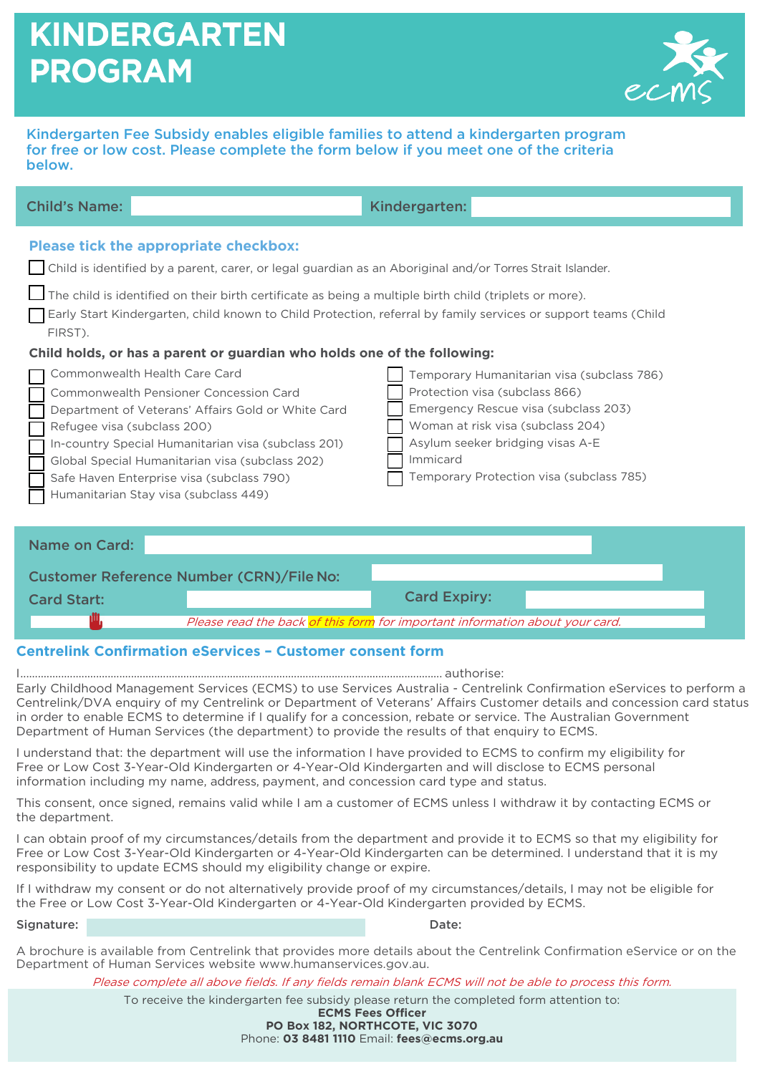# **KINDERGARTEN PROGRAM**



Kindergarten Fee Subsidy enables eligible families to attend a kindergarten program for free or low cost. Please complete the form below if you meet one of the criteria below.

| <b>Child's Name:</b>                            | Kindergarten:                                                                                                                                                                                                                                                                                                                                                                                                                                                                                                                                                                                                                                                                                                                                                                                                                                                                                                                                                                                                                                               |
|-------------------------------------------------|-------------------------------------------------------------------------------------------------------------------------------------------------------------------------------------------------------------------------------------------------------------------------------------------------------------------------------------------------------------------------------------------------------------------------------------------------------------------------------------------------------------------------------------------------------------------------------------------------------------------------------------------------------------------------------------------------------------------------------------------------------------------------------------------------------------------------------------------------------------------------------------------------------------------------------------------------------------------------------------------------------------------------------------------------------------|
| FIRST).<br>Refugee visa (subclass 200)          | <b>Please tick the appropriate checkbox:</b><br>Child is identified by a parent, carer, or legal guardian as an Aboriginal and/or Torres Strait Islander.<br>The child is identified on their birth certificate as being a multiple birth child (triplets or more).<br>Early Start Kindergarten, child known to Child Protection, referral by family services or support teams (Child<br>Child holds, or has a parent or guardian who holds one of the following:<br>Commonwealth Health Care Card<br>Temporary Humanitarian visa (subclass 786)<br>Protection visa (subclass 866)<br>Commonwealth Pensioner Concession Card<br>Emergency Rescue visa (subclass 203)<br>Department of Veterans' Affairs Gold or White Card<br>Woman at risk visa (subclass 204)<br>Asylum seeker bridging visas A-E<br>In-country Special Humanitarian visa (subclass 201)<br>Immicard<br>Global Special Humanitarian visa (subclass 202)<br>Temporary Protection visa (subclass 785)<br>Safe Haven Enterprise visa (subclass 790)<br>Humanitarian Stay visa (subclass 449) |
| <b>Name on Card:</b>                            |                                                                                                                                                                                                                                                                                                                                                                                                                                                                                                                                                                                                                                                                                                                                                                                                                                                                                                                                                                                                                                                             |
| <b>Customer Reference Number (CRN)/File No:</b> |                                                                                                                                                                                                                                                                                                                                                                                                                                                                                                                                                                                                                                                                                                                                                                                                                                                                                                                                                                                                                                                             |
| <b>Card Start:</b>                              | <b>Card Expiry:</b>                                                                                                                                                                                                                                                                                                                                                                                                                                                                                                                                                                                                                                                                                                                                                                                                                                                                                                                                                                                                                                         |
|                                                 | Please read the back of this form for important information about your card.                                                                                                                                                                                                                                                                                                                                                                                                                                                                                                                                                                                                                                                                                                                                                                                                                                                                                                                                                                                |

### **Centrelink Confirmation eServices – Customer consent form**

I ................................................................................................................................................. authorise:

Early Childhood Management Services (ECMS) to use Services Australia - Centrelink Confirmation eServices to perform a Centrelink/DVA enquiry of my Centrelink or Department of Veterans' Affairs Customer details and concession card status in order to enable ECMS to determine if I qualify for a concession, rebate or service. The Australian Government Department of Human Services (the department) to provide the results of that enquiry to ECMS.

I understand that: the department will use the information I have provided to ECMS to confirm my eligibility for Free or Low Cost 3-Year-Old Kindergarten or 4-Year-Old Kindergarten and will disclose to ECMS personal information including my name, address, payment, and concession card type and status.

This consent, once signed, remains valid while I am a customer of ECMS unless I withdraw it by contacting ECMS or the department.

I can obtain proof of my circumstances/details from the department and provide it to ECMS so that my eligibility for Free or Low Cost 3-Year-Old Kindergarten or 4-Year-Old Kindergarten can be determined. I understand that it is my responsibility to update ECMS should my eligibility change or expire.

If I withdraw my consent or do not alternatively provide proof of my circumstances/details, I may not be eligible for the Free or Low Cost 3-Year-Old Kindergarten or 4-Year-Old Kindergarten provided by ECMS.

Signature: Date: Date: Date: Date: Date: Date: Date: Date: Date: Date: Date: Date: Date: Date: Date: Date: Date: Date: Date: Date: Date: Date: Date: Date: Date: Date: Date: Date: Date: Date: Date: Date: Date: Date: Date: D

A brochure is available from Centrelink that provides more details about the Centrelink Confirmation eService or on the Department of Human Services website [www.humanservices.gov.au.](http://www.humanservices.gov.au/)

Please complete all above fields. If any fields remain blank ECMS will not be able to process this form.

To receive the kindergarten fee subsidy please return the completed form attention to:

**ECMS Fees Officer PO Box 182, NORTHCOTE, VIC 3070**

Phone: **03 8481 1110** Email: **[fees@ecms.org.au](mailto:fees@ecms.org.au)**